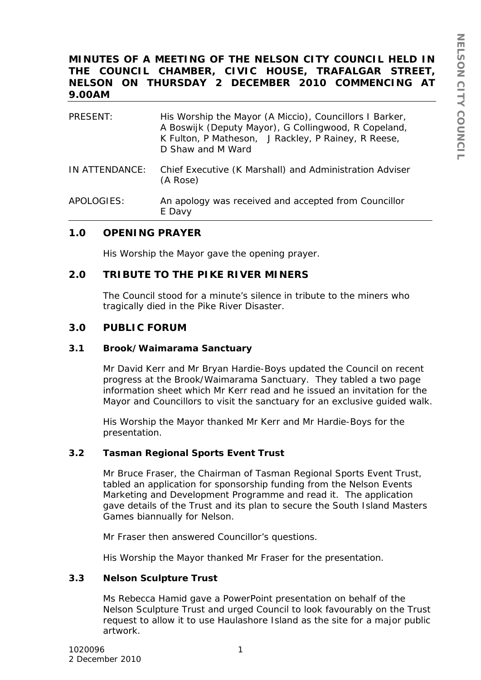# **MINUTES OF A MEETING OF THE NELSON CITY COUNCIL HELD IN THE COUNCIL CHAMBER, CIVIC HOUSE, TRAFALGAR STREET, NELSON ON THURSDAY 2 DECEMBER 2010 COMMENCING AT 9.00AM**

| <b>PRESENT:</b> | His Worship the Mayor (A Miccio), Councillors I Barker,<br>A Boswijk (Deputy Mayor), G Collingwood, R Copeland,<br>K Fulton, P Matheson, J Rackley, P Rainey, R Reese,<br>D Shaw and M Ward |
|-----------------|---------------------------------------------------------------------------------------------------------------------------------------------------------------------------------------------|
| IN ATTENDANCE:  | Chief Executive (K Marshall) and Administration Adviser<br>(A Rose)                                                                                                                         |
| APOLOGIES:      | An apology was received and accepted from Councillor<br>E Davy                                                                                                                              |

## **1.0 OPENING PRAYER**

His Worship the Mayor gave the opening prayer.

## **2.0 TRIBUTE TO THE PIKE RIVER MINERS**

The Council stood for a minute's silence in tribute to the miners who tragically died in the Pike River Disaster.

## **3.0 PUBLIC FORUM**

#### **3.1 Brook/Waimarama Sanctuary**

Mr David Kerr and Mr Bryan Hardie-Boys updated the Council on recent progress at the Brook/Waimarama Sanctuary. They tabled a two page information sheet which Mr Kerr read and he issued an invitation for the Mayor and Councillors to visit the sanctuary for an exclusive guided walk.

His Worship the Mayor thanked Mr Kerr and Mr Hardie-Boys for the presentation.

#### **3.2 Tasman Regional Sports Event Trust**

Mr Bruce Fraser, the Chairman of Tasman Regional Sports Event Trust, tabled an application for sponsorship funding from the Nelson Events Marketing and Development Programme and read it. The application gave details of the Trust and its plan to secure the South Island Masters Games biannually for Nelson.

Mr Fraser then answered Councillor's questions.

His Worship the Mayor thanked Mr Fraser for the presentation.

#### **3.3 Nelson Sculpture Trust**

Ms Rebecca Hamid gave a PowerPoint presentation on behalf of the Nelson Sculpture Trust and urged Council to look favourably on the Trust request to allow it to use Haulashore Island as the site for a major public artwork.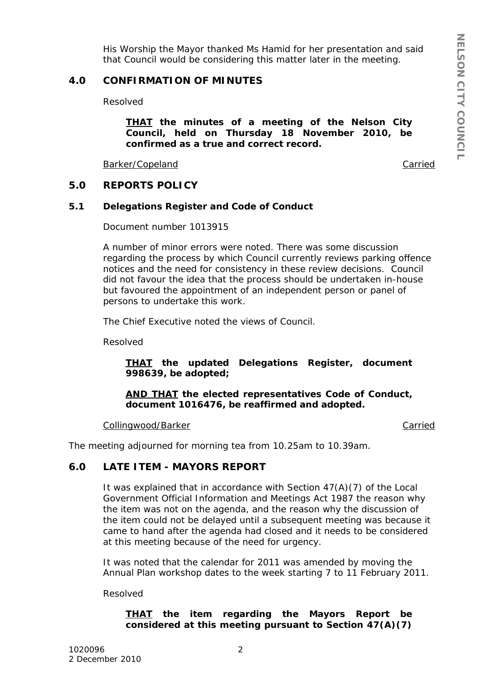His Worship the Mayor thanked Ms Hamid for her presentation and said that Council would be considering this matter later in the meeting.

# **4.0 CONFIRMATION OF MINUTES**

Resolved

*THAT the minutes of a meeting of the Nelson City Council, held on Thursday 18 November 2010, be confirmed as a true and correct record.*

Barker/Copeland

Carried

## **5.0 REPORTS POLICY**

#### **5.1 Delegations Register and Code of Conduct**

Document number 1013915

A number of minor errors were noted. There was some discussion regarding the process by which Council currently reviews parking offence notices and the need for consistency in these review decisions. Council did not favour the idea that the process should be undertaken in-house but favoured the appointment of an independent person or panel of persons to undertake this work.

The Chief Executive noted the views of Council.

Resolved

## *THAT the updated Delegations Register, document 998639, be adopted;*

#### *AND THAT the elected representatives Code of Conduct, document 1016476, be reaffirmed and adopted.*

Collingwood/Barker

Carried

The meeting adjourned for morning tea from 10.25am to 10.39am.

## **6.0 LATE ITEM - MAYORS REPORT**

It was explained that in accordance with Section 47(A)(7) of the Local Government Official Information and Meetings Act 1987 the reason why the item was not on the agenda, and the reason why the discussion of the item could not be delayed until a subsequent meeting was because it came to hand after the agenda had closed and it needs to be considered at this meeting because of the need for urgency.

It was noted that the calendar for 2011 was amended by moving the Annual Plan workshop dates to the week starting 7 to 11 February 2011.

Resolved

## *THAT the item regarding the Mayors Report be considered at this meeting pursuant to Section 47(A)(7)*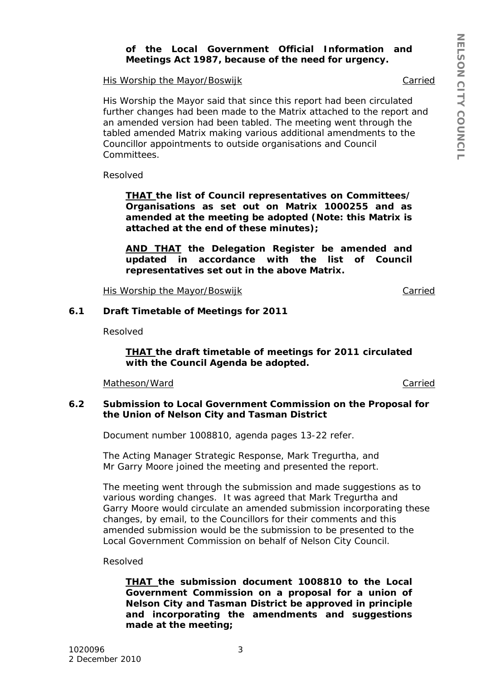## *of the Local Government Official Information and Meetings Act 1987, because of the need for urgency.*

His Worship the Mayor/Boswijk

His Worship the Mayor said that since this report had been circulated further changes had been made to the Matrix attached to the report and an amended version had been tabled. The meeting went through the tabled amended Matrix making various additional amendments to the Councillor appointments to outside organisations and Council Committees.

Resolved

*THAT the list of Council representatives on Committees/ Organisations as set out on Matrix 1000255 and as amended at the meeting be adopted (Note: this Matrix is attached at the end of these minutes);*

*AND THAT the Delegation Register be amended and updated in accordance with the list of Council representatives set out in the above Matrix.*

His Worship the Mayor/Boswijk

Carried

**Carried** 

Carried

## **6.1 Draft Timetable of Meetings for 2011**

Resolved

*THAT the draft timetable of meetings for 2011 circulated with the Council Agenda be adopted.*

Matheson/Ward

## **6.2 Submission to Local Government Commission on the Proposal for the Union of Nelson City and Tasman District**

Document number 1008810, agenda pages 13-22 refer.

The Acting Manager Strategic Response, Mark Tregurtha, and Mr Garry Moore joined the meeting and presented the report.

The meeting went through the submission and made suggestions as to various wording changes. It was agreed that Mark Tregurtha and Garry Moore would circulate an amended submission incorporating these changes, by email, to the Councillors for their comments and this amended submission would be the submission to be presented to the Local Government Commission on behalf of Nelson City Council.

Resolved

*THAT the submission document 1008810 to the Local Government Commission on a proposal for a union of Nelson City and Tasman District be approved in principle and incorporating the amendments and suggestions made at the meeting;*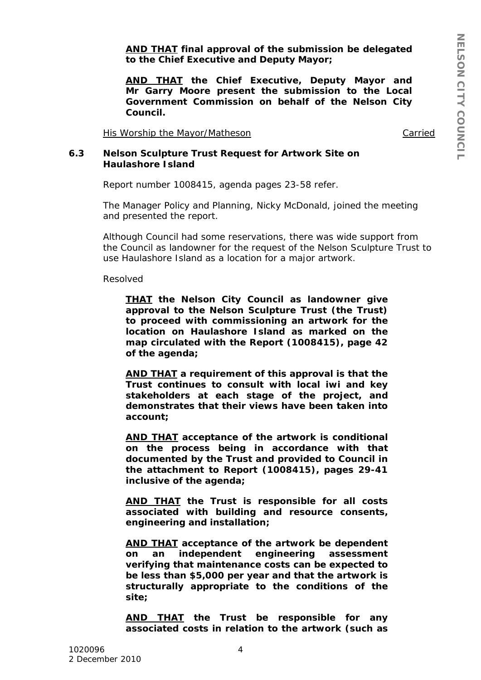*AND THAT final approval of the submission be delegated to the Chief Executive and Deputy Mayor;*

*AND THAT the Chief Executive, Deputy Mayor and Mr Garry Moore present the submission to the Local Government Commission on behalf of the Nelson City Council.*

His Worship the Mayor/Matheson

Carried

#### **6.3 Nelson Sculpture Trust Request for Artwork Site on Haulashore Island**

Report number 1008415, agenda pages 23-58 refer.

The Manager Policy and Planning, Nicky McDonald, joined the meeting and presented the report.

Although Council had some reservations, there was wide support from the Council as landowner for the request of the Nelson Sculpture Trust to use Haulashore Island as a location for a major artwork.

#### Resolved

*THAT the Nelson City Council as landowner give approval to the Nelson Sculpture Trust (the Trust) to proceed with commissioning an artwork for the location on Haulashore Island as marked on the map circulated with the Report (1008415), page 42 of the agenda;*

*AND THAT a requirement of this approval is that the Trust continues to consult with local iwi and key stakeholders at each stage of the project, and demonstrates that their views have been taken into account;*

*AND THAT acceptance of the artwork is conditional on the process being in accordance with that documented by the Trust and provided to Council in the attachment to Report (1008415), pages 29-41 inclusive of the agenda;*

*AND THAT the Trust is responsible for all costs associated with building and resource consents, engineering and installation;*

*AND THAT acceptance of the artwork be dependent on an independent engineering assessment verifying that maintenance costs can be expected to be less than \$5,000 per year and that the artwork is structurally appropriate to the conditions of the site;*

*AND THAT the Trust be responsible for any associated costs in relation to the artwork (such as*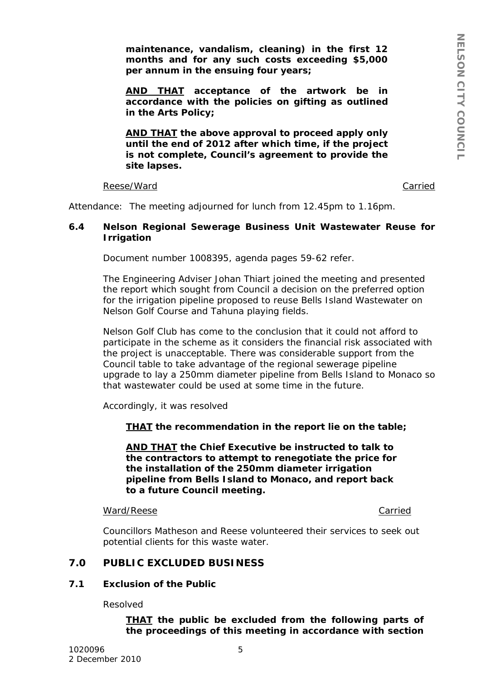*maintenance, vandalism, cleaning) in the first 12 months and for any such costs exceeding \$5,000 per annum in the ensuing four years;*

*AND THAT acceptance of the artwork be in accordance with the policies on gifting as outlined in the Arts Policy;*

*AND THAT the above approval to proceed apply only until the end of 2012 after which time, if the project is not complete, Council's agreement to provide the site lapses.*

Reese/Ward

Carried

Attendance: The meeting adjourned for lunch from 12.45pm to 1.16pm.

### **6.4 Nelson Regional Sewerage Business Unit Wastewater Reuse for Irrigation**

Document number 1008395, agenda pages 59-62 refer.

The Engineering Adviser Johan Thiart joined the meeting and presented the report which sought from Council a decision on the preferred option for the irrigation pipeline proposed to reuse Bells Island Wastewater on Nelson Golf Course and Tahuna playing fields.

Nelson Golf Club has come to the conclusion that it could not afford to participate in the scheme as it considers the financial risk associated with the project is unacceptable. There was considerable support from the Council table to take advantage of the regional sewerage pipeline upgrade to lay a 250mm diameter pipeline from Bells Island to Monaco so that wastewater could be used at some time in the future.

Accordingly, it was resolved

*THAT the recommendation in the report lie on the table;*

*AND THAT the Chief Executive be instructed to talk to the contractors to attempt to renegotiate the price for the installation of the 250mm diameter irrigation pipeline from Bells Island to Monaco, and report back to a future Council meeting.*

#### Ward/Reese Carried

Councillors Matheson and Reese volunteered their services to seek out potential clients for this waste water.

## **7.0 PUBLIC EXCLUDED BUSINESS**

#### **7.1 Exclusion of the Public**

Resolved

*THAT the public be excluded from the following parts of the proceedings of this meeting in accordance with section*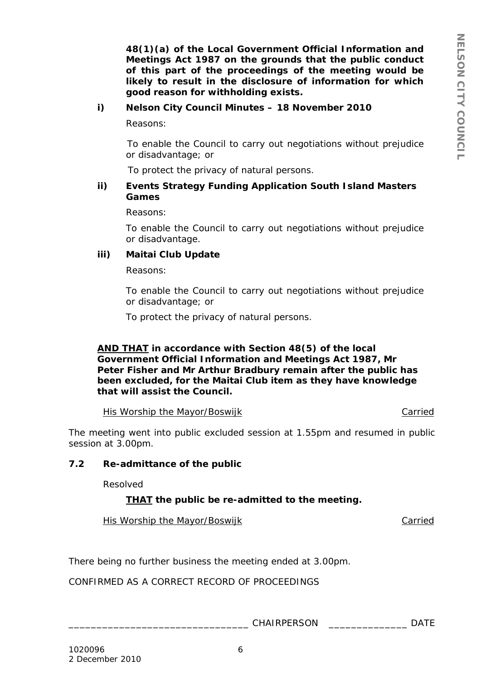*48(1)(a) of the Local Government Official Information and Meetings Act 1987 on the grounds that the public conduct of this part of the proceedings of the meeting would be likely to result in the disclosure of information for which good reason for withholding exists.*

## *i) Nelson City Council Minutes – 18 November 2010*

*Reasons:*

*To enable the Council to carry out negotiations without prejudice or disadvantage; or*

 *To protect the privacy of natural persons.*

### *ii) Events Strategy Funding Application South Island Masters Games*

*Reasons:*

*To enable the Council to carry out negotiations without prejudice or disadvantage.*

#### *iii) Maitai Club Update*

*Reasons:*

*To enable the Council to carry out negotiations without prejudice or disadvantage; or*

*To protect the privacy of natural persons.*

## *AND THAT in accordance with Section 48(5) of the local Government Official Information and Meetings Act 1987, Mr Peter Fisher and Mr Arthur Bradbury remain after the public has been excluded, for the Maitai Club item as they have knowledge that will assist the Council.*

His Worship the Mayor/Boswijk Carried Carried

The meeting went into public excluded session at 1.55pm and resumed in public session at 3.00pm.

## **7.2 Re-admittance of the public**

Resolved

## *THAT the public be re-admitted to the meeting.*

His Worship the Mayor/Boswijk Carried Carried

There being no further business the meeting ended at 3.00pm.

CONFIRMED AS A CORRECT RECORD OF PROCEEDINGS

\_\_\_\_\_\_\_\_\_\_\_\_\_\_\_\_\_\_\_\_\_\_\_\_\_\_\_\_\_\_\_\_ CHAIRPERSON \_\_\_\_\_\_\_\_\_\_\_\_\_\_ DATE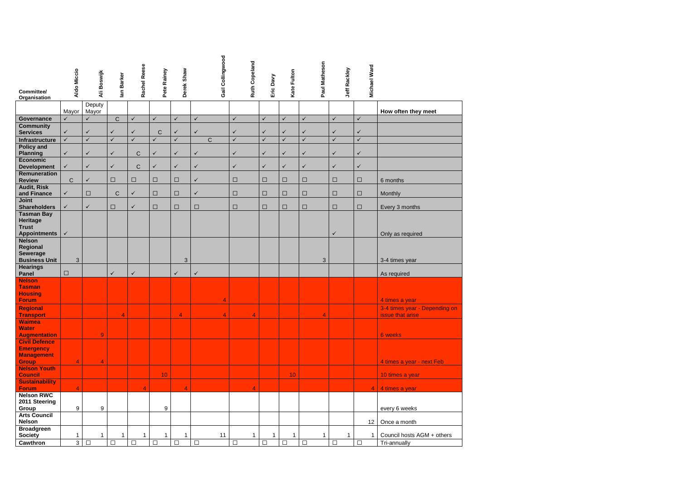| Committee/                                | Aldo Miccio    | Ali Boswijk     | lan Barker   | Rachel Reese | Pete Rainey     | Derek Shaw     |              | Gail Collingwood |              | <b>Ruth Copeland</b> | Eric Davy    | Kate Fulton  | Paul Matheson           | Jeff Rackley   | <b>Michael Ward</b> |                                                   |
|-------------------------------------------|----------------|-----------------|--------------|--------------|-----------------|----------------|--------------|------------------|--------------|----------------------|--------------|--------------|-------------------------|----------------|---------------------|---------------------------------------------------|
| Organisation                              |                |                 |              |              |                 |                |              |                  |              |                      |              |              |                         |                |                     |                                                   |
|                                           | Mayor          | Deputy<br>Mayor |              |              |                 |                |              |                  |              |                      |              |              |                         |                |                     | How often they meet                               |
| Governance                                | $\checkmark$   | $\checkmark$    | $\mathsf C$  | $\checkmark$ | $\checkmark$    | $\checkmark$   | $\checkmark$ |                  | $\checkmark$ |                      | $\checkmark$ | $\checkmark$ | $\checkmark$            | $\checkmark$   | $\checkmark$        |                                                   |
| <b>Community</b><br><b>Services</b>       | $\checkmark$   | $\checkmark$    | $\checkmark$ | $\checkmark$ | C               | $\checkmark$   | $\checkmark$ |                  | $\checkmark$ |                      | $\checkmark$ | $\checkmark$ | $\checkmark$            | $\checkmark$   | $\checkmark$        |                                                   |
| Infrastructure                            | $\checkmark$   | $\checkmark$    | $\checkmark$ | $\checkmark$ | $\checkmark$    | $\checkmark$   |              | $\mathsf{C}$     | $\checkmark$ |                      | $\checkmark$ | $\checkmark$ | $\sqrt{}$               | $\checkmark$   | $\checkmark$        |                                                   |
| <b>Policy and</b><br><b>Planning</b>      | $\checkmark$   | $\checkmark$    | $\checkmark$ | $\mathsf C$  | $\checkmark$    | $\checkmark$   | $\checkmark$ |                  | $\checkmark$ |                      | $\checkmark$ | $\checkmark$ | $\checkmark$            | $\checkmark$   | $\checkmark$        |                                                   |
| Economic                                  | $\checkmark$   | $\checkmark$    | $\checkmark$ |              | $\checkmark$    | $\checkmark$   | $\checkmark$ |                  | $\checkmark$ |                      | ✓            | ✓            | $\checkmark$            | $\checkmark$   | $\checkmark$        |                                                   |
| <b>Development</b><br><b>Remuneration</b> |                |                 |              | $\mathsf{C}$ |                 |                |              |                  |              |                      |              |              |                         |                |                     |                                                   |
| <b>Review</b><br><b>Audit, Risk</b>       | C              | ✓               | $\Box$       | □            | □               | $\Box$         | $\checkmark$ |                  | $\Box$       |                      | □            | □            | $\Box$                  | $\Box$         | $\Box$              | 6 months                                          |
| and Finance                               | $\checkmark$   | $\Box$          | $\mathsf C$  | $\checkmark$ | □               | $\Box$         | $\checkmark$ |                  | $\Box$       |                      | □            | $\Box$       | □                       | $\Box$         | $\Box$              | Monthly                                           |
| <b>Joint</b><br><b>Shareholders</b>       | $\checkmark$   | $\checkmark$    | $\Box$       | $\checkmark$ | $\Box$          | $\Box$         | $\Box$       |                  | $\Box$       |                      | $\Box$       | $\Box$       | $\Box$                  | $\Box$         | $\Box$              | Every 3 months                                    |
| <b>Tasman Bay</b><br>Heritage             |                |                 |              |              |                 |                |              |                  |              |                      |              |              |                         |                |                     |                                                   |
| <b>Trust</b>                              |                |                 |              |              |                 |                |              |                  |              |                      |              |              |                         |                |                     |                                                   |
| <b>Appointments</b><br><b>Nelson</b>      | $\checkmark$   |                 |              |              |                 |                |              |                  |              |                      |              |              |                         | $\checkmark$   |                     | Only as required                                  |
| Regional                                  |                |                 |              |              |                 |                |              |                  |              |                      |              |              |                         |                |                     |                                                   |
| <b>Sewerage</b><br><b>Business Unit</b>   | $\sqrt{3}$     |                 |              |              |                 | $\sqrt{3}$     |              |                  |              |                      |              |              | 3                       |                |                     | 3-4 times year                                    |
| <b>Hearings</b><br><b>Panel</b>           | $\Box$         |                 | ✓            | ✓            |                 | $\checkmark$   | $\checkmark$ |                  |              |                      |              |              |                         |                |                     | As required                                       |
| <b>Nelson</b>                             |                |                 |              |              |                 |                |              |                  |              |                      |              |              |                         |                |                     |                                                   |
| <b>Tasman</b><br><b>Housing</b>           |                |                 |              |              |                 |                |              |                  |              |                      |              |              |                         |                |                     |                                                   |
| <b>Forum</b>                              |                |                 |              |              |                 |                |              | 4                |              |                      |              |              |                         |                |                     | 4 times a year                                    |
| <b>Regional</b><br><b>Transport</b>       |                |                 | 4            |              |                 | 4              |              | 4                |              | 4                    |              |              | $\overline{\mathbf{4}}$ |                |                     | 3-4 times year - Depending on<br>issue that arise |
| <b>Waimea</b>                             |                |                 |              |              |                 |                |              |                  |              |                      |              |              |                         |                |                     |                                                   |
| <b>Water</b><br><b>Augmentation</b>       |                | $\overline{9}$  |              |              |                 |                |              |                  |              |                      |              |              |                         |                |                     | 6 weeks                                           |
| <b>Civil Defence</b>                      |                |                 |              |              |                 |                |              |                  |              |                      |              |              |                         |                |                     |                                                   |
| <b>Emergency</b><br><b>Management</b>     |                |                 |              |              |                 |                |              |                  |              |                      |              |              |                         |                |                     |                                                   |
| <b>Group</b>                              | $\overline{4}$ | 4               |              |              |                 |                |              |                  |              |                      |              |              |                         |                |                     | 4 times a year - next Feb                         |
| <b>Nelson Youth</b><br><b>Council</b>     |                |                 |              |              | 10 <sup>°</sup> |                |              |                  |              |                      |              | 10           |                         |                |                     | 10 times a year                                   |
| <b>Sustainability</b><br><b>Forum</b>     | $\overline{4}$ |                 |              | 4            |                 | $\overline{4}$ |              |                  |              | $\overline{4}$       |              |              |                         |                |                     | 4 4 times a year                                  |
| <b>Nelson RWC</b>                         |                |                 |              |              |                 |                |              |                  |              |                      |              |              |                         |                |                     |                                                   |
| 2011 Steering<br>Group                    | 9              | 9               |              |              | 9               |                |              |                  |              |                      |              |              |                         |                |                     | every 6 weeks                                     |
| <b>Arts Council</b>                       |                |                 |              |              |                 |                |              |                  |              |                      |              |              |                         |                |                     |                                                   |
| <b>Nelson</b><br><b>Broadgreen</b>        |                |                 |              |              |                 |                |              |                  |              |                      |              |              |                         |                | 12                  | Once a month                                      |
| <b>Society</b>                            | 1              | $\mathbf{1}$    | 1            | 1            | 1               | 1              |              | 11               |              |                      | 1            | $\mathbf 1$  | 1                       | $\overline{1}$ |                     | Council hosts AGM + others                        |
| Cawthron                                  | $\mathbf{3}$   | $\Box$          | $\Box$       | $\Box$       | $\Box$          | $\Box$         | $\Box$       |                  | $\Box$       |                      | $\Box$       | $\Box$       | $\Box$                  | $\Box$         | $\Box$              | Tri-annually                                      |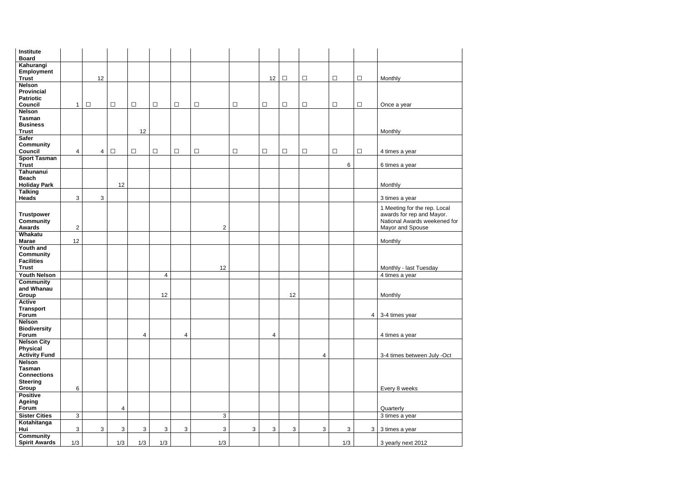| Institute<br><b>Board</b>                                                |                         |                |              |                |                |                |                |        |              |            |        |        |                |                                                                                           |
|--------------------------------------------------------------------------|-------------------------|----------------|--------------|----------------|----------------|----------------|----------------|--------|--------------|------------|--------|--------|----------------|-------------------------------------------------------------------------------------------|
| Kahurangi<br><b>Employment</b><br><b>Trust</b>                           |                         | 12             |              |                |                |                |                |        | 12           | $\Box$     | $\Box$ | $\Box$ | $\Box$         | Monthly                                                                                   |
| <b>Nelson</b><br><b>Provincial</b><br><b>Patriotic</b><br><b>Council</b> | $\mathbf{1}$            | $\Box$         | $\Box$       | $\Box$         | $\Box$         | $\Box$         | $\Box$         | $\Box$ | $\Box$       | $\Box$     | $\Box$ | $\Box$ | $\Box$         | Once a year                                                                               |
| <b>Nelson</b>                                                            |                         |                |              |                |                |                |                |        |              |            |        |        |                |                                                                                           |
| <b>Tasman</b><br><b>Business</b><br><b>Trust</b>                         |                         |                |              | 12             |                |                |                |        |              |            |        |        |                | Monthly                                                                                   |
| <b>Safer</b><br><b>Community</b>                                         |                         |                |              |                |                |                |                |        |              |            |        |        |                |                                                                                           |
| <b>Council</b>                                                           | $\overline{\mathbf{4}}$ | 4              | $\Box$       | $\Box$         | $\Box$         | $\Box$         | $\Box$         | $\Box$ | $\Box$       | $\Box$     | $\Box$ | $\Box$ | $\Box$         | 4 times a year                                                                            |
| <b>Sport Tasman</b><br><b>Trust</b>                                      |                         |                |              |                |                |                |                |        |              |            |        | 6      |                | 6 times a year                                                                            |
| Tahunanui<br><b>Beach</b>                                                |                         |                |              |                |                |                |                |        |              |            |        |        |                |                                                                                           |
| <b>Holiday Park</b>                                                      |                         |                | 12           |                |                |                |                |        |              |            |        |        |                | Monthly                                                                                   |
| <b>Talking</b>                                                           |                         |                |              |                |                |                |                |        |              |            |        |        |                |                                                                                           |
| <b>Heads</b>                                                             | $\mathbf{3}$            | 3              |              |                |                |                |                |        |              |            |        |        |                | 3 times a year                                                                            |
| <b>Trustpower</b><br><b>Community</b>                                    |                         |                |              |                |                |                |                |        |              |            |        |        |                | 1 Meeting for the rep. Local<br>awards for rep and Mayor.<br>National Awards weekened for |
| <b>Awards</b><br>Whakatu                                                 | $\overline{2}$          |                |              |                |                |                | $\overline{2}$ |        |              |            |        |        |                | Mayor and Spouse                                                                          |
| <b>Marae</b>                                                             | 12                      |                |              |                |                |                |                |        |              |            |        |        |                | Monthly                                                                                   |
| <b>Youth and</b><br><b>Community</b><br><b>Facilities</b>                |                         |                |              |                |                |                |                |        |              |            |        |        |                |                                                                                           |
| <b>Trust</b><br><b>Youth Nelson</b>                                      |                         |                |              |                | 4              |                | 12             |        |              |            |        |        |                | Monthly - last Tuesday<br>4 times a year                                                  |
| <b>Community</b><br>and Whanau<br>Group                                  |                         |                |              |                | 12             |                |                |        |              | 12         |        |        |                | Monthly                                                                                   |
| <b>Active</b><br><b>Transport</b><br>Forum                               |                         |                |              |                |                |                |                |        |              |            |        |        | $\overline{4}$ |                                                                                           |
| <b>Nelson</b><br><b>Biodiversity</b>                                     |                         |                |              |                |                |                |                |        |              |            |        |        |                | 3-4 times year                                                                            |
| Forum<br><b>Nelson City</b>                                              |                         |                |              | 4              |                | $\overline{4}$ |                |        | 4            |            |        |        |                | 4 times a year                                                                            |
| <b>Physical</b><br><b>Activity Fund</b>                                  |                         |                |              |                |                |                |                |        |              |            | 4      |        |                | 3-4 times between July -Oct                                                               |
| <b>Nelson</b><br><b>Tasman</b><br><b>Connections</b><br><b>Steering</b>  |                         |                |              |                |                |                |                |        |              |            |        |        |                |                                                                                           |
| Group                                                                    | $\,6\,$                 |                |              |                |                |                |                |        |              |            |        |        |                | Every 8 weeks                                                                             |
| <b>Positive</b><br><b>Ageing</b><br>Forum                                |                         |                | 4            |                |                |                |                |        |              |            |        |        |                | Quarterly                                                                                 |
| <b>Sister Cities</b>                                                     | 3                       |                |              |                |                |                | 3              |        |              |            |        |        |                | 3 times a year                                                                            |
| Kotahitanga<br>Hui                                                       | $\mathbf{3}$            | $\mathfrak{S}$ | $\mathbf{3}$ | $\mathfrak{S}$ | $\mathfrak{S}$ | $\mathfrak{S}$ | $\sqrt{3}$     | 3      | $\mathbf{3}$ | $\sqrt{3}$ | 3      | 3      | $\mathbf{3}$   | 3 times a year                                                                            |
| <b>Community</b><br><b>Spirit Awards</b>                                 | 1/3                     |                | 1/3          | 1/3            | 1/3            |                | 1/3            |        |              |            |        | 1/3    |                | 3 yearly next 2012                                                                        |